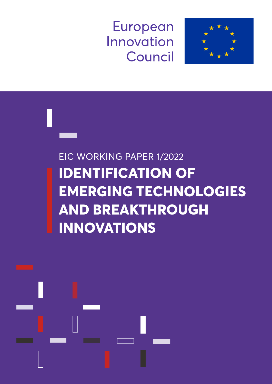European Innovation Council





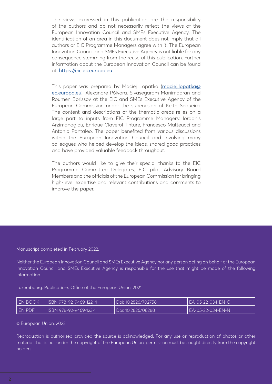The views expressed in this publication are the responsibility of the authors and do not necessarily reflect the views of the European Innovation Council and SMEs Executive Agency. The identification of an area in this document does not imply that all authors or EIC Programme Managers agree with it. The European Innovation Council and SMEs Executive Agency is not liable for any consequence stemming from the reuse of this publication. Further information about the European Innovation Council can be found at: <https://eic.ec.europa.eu>

This paper was prepared by Maciej Lopatka ([maciej.lopatka@](mailto:maciej.lopatka%40ec.europa.eu?subject=) [ec.europa.eu](mailto:maciej.lopatka%40ec.europa.eu?subject=)), Alexandre Pólvora, Sivasegaram Manimaaran and Roumen Borissov at the EIC and SMEs Executive Agency of the European Commission under the supervision of Keith Sequeira. The content and descriptions of the thematic areas relies on a large part to inputs from EIC Programme Managers: Iordanis Arzimanoglou, Enrique Claverol-Tinture, Francesco Matteucci and Antonio Pantaleo. The paper benefited from various discussions within the European Innovation Council and involving many colleagues who helped develop the ideas, shared good practices and have provided valuable feedback throughout.

The authors would like to give their special thanks to the EIC Programme Committee Delegates, EIC pilot Advisory Board Members and the officials of the European Commission for bringing high-level expertise and relevant contributions and comments to improve the paper.

Manuscript completed in February 2022.

Neither the European Innovation Council and SMEs Executive Agency nor any person acting on behalf of the European Innovation Council and SMEs Executive Agency is responsible for the use that might be made of the following information.

Luxembourg: Publications Office of the European Union, 2021

| I EN BOOK | I ISBN 978-92-9469-122-4 | Doi: 10.2826/702758 | EA-05-22-034-EN-C  |
|-----------|--------------------------|---------------------|--------------------|
| I EN PDF  | I ISBN 978-92-9469-123-1 | Doi: 10.2826/06288  | LEA-05-22-034-EN-N |

© European Union, 2022

Reproduction is authorised provided the source is acknowledged. For any use or reproduction of photos or other material that is not under the copyright of the European Union, permission must be sought directly from the copyright holders.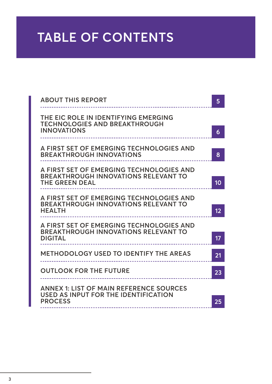# **TABLE OF CONTENTS**

| <b>ABOUT THIS REPORT</b>                                                                                  | 5  |                                               |
|-----------------------------------------------------------------------------------------------------------|----|-----------------------------------------------|
| THE EIC ROLE IN IDENTIFYING EMERGING<br><b>TECHNOLOGIES AND BREAKTHROUGH</b>                              |    |                                               |
| <b>INNOVATIONS</b>                                                                                        | 6  |                                               |
| A FIRST SET OF EMERGING TECHNOLOGIES AND<br><b>BREAKTHROUGH INNOVATIONS</b>                               | 8  |                                               |
| A FIRST SET OF EMERGING TECHNOLOGIES AND<br><b>BREAKTHROUGH INNOVATIONS RELEVANT TO</b>                   |    |                                               |
| <b>THE GREEN DEAL</b>                                                                                     | 10 |                                               |
| A FIRST SET OF EMERGING TECHNOLOGIES AND<br><b>BREAKTHROUGH INNOVATIONS RELEVANT TO</b>                   |    |                                               |
| <b>HEALTH</b>                                                                                             | 12 |                                               |
| A FIRST SET OF EMERGING TECHNOLOGIES AND<br><b>BREAKTHROUGH INNOVATIONS RELEVANT TO</b><br><b>DIGITAL</b> |    |                                               |
|                                                                                                           |    | <b>METHODOLOGY USED TO IDENTIFY THE AREAS</b> |
| <b>OUTLOOK FOR THE FUTURE</b>                                                                             | 23 |                                               |
| <b>ANNEX 1: LIST OF MAIN REFERENCE SOURCES</b><br>USED AS INPUT FOR THE IDENTIFICATION                    |    |                                               |
| <b>PROCESS</b>                                                                                            |    |                                               |
|                                                                                                           |    |                                               |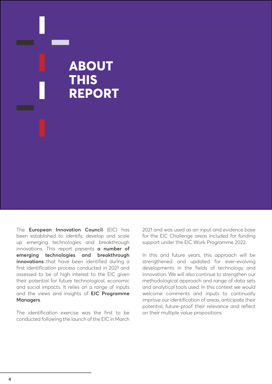## **ABOUT THIS REPORT**

The **European Innovation Council** (EIC) has been established to identify, develop and scale up emerging technologies and breakthrough innovations. This report presents **a number of emerging technologies and breakthrough innovations** that have been identified during a first identification process conducted in 2021 and assessed to be of high interest to the EIC given their potential for future technological, economic and social impacts. It relies on a range of inputs and the views and insights of **EIC Programme Managers**.

The identification exercise was the first to be conducted following the launch of the EIC in March 2021 and was used as an input and evidence base for the EIC Challenge areas included for funding support under the EIC Work Programme 2022.

In this and future years, this approach will be strengthened and updated for ever-evolving developments in the fields of technology and innovation. We will also continue to strengthen our methodological approach and range of data sets and analytical tools used. In this context we would welcome comments and inputs to continually improve our identification of areas, anticipate their potential, future-proof their relevance and reflect on their multiple value propositions.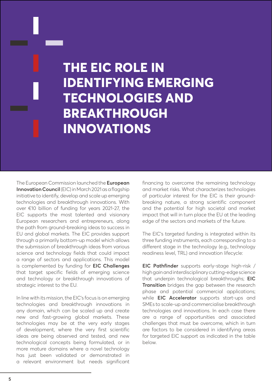# **THE EIC ROLE IN IDENTIFYING EMERGING TECHNOLOGIES AND BREAKTHROUGH INNOVATIONS**

The European Commission launched the **European Innovation Council** (EIC) in March 2021 as a flagship initiative to identify, develop and scale up emerging technologies and breakthrough innovations. With over €10 billion of funding for years 2021-27, the EIC supports the most talented and visionary European researchers and entrepreneurs, along the path from ground-breaking ideas to success in EU and global markets. The EIC provides support through a primarily bottom-up model which allows the submission of breakthrough ideas from various science and technology fields that could impact a range of sectors and applications. This model is complemented by funding for **EIC Challenges** that target specific fields of emerging science and technology or breakthrough innovations of strategic interest to the EU.

In line with its mission, the EIC's focus is on emerging technologies and breakthrough innovations in any domain, which can be scaled up and create new and fast-growing global markets. These technologies may be at the very early stages of development, where the very first scientific ideas are being observed and tested, and new technological concepts being formulated, or in more mature domains where a novel technology has just been validated or demonstrated in a relevant environment but needs significant financing to overcome the remaining technology and market risks. What characterizes technologies of particular interest for the EIC is their groundbreaking nature, a strong scientific component and the potential for high societal and market impact that will in turn place the EU at the leading edge of the sectors and markets of the future.

The EIC's targeted funding is integrated within its three funding instruments, each corresponding to a different stage in the technology (e.g., technology readiness level, TRL) and innovation lifecycle:

**EIC Pathfinder** supports early-stage high-risk / high gain and interdisciplinary cutting-edge science that underpin technological breakthroughs; **EIC Transition** bridges the gap between the research phase and potential commercial applications; while **EIC Accelerator** supports start-ups and SMEs to scale-up and commercialise breakthrough technologies and innovations. In each case there are a range of opportunities and associated challenges that must be overcome, which in turn are factors to be considered in identifying areas for targeted EIC support as indicated in the table below.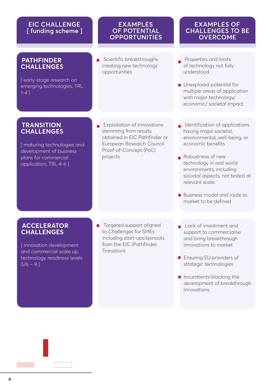#### **EIC CHALLENGE [ funding scheme ]**

#### **PATHFINDER CHALLENGES**

[ early-stage research on emerging technologies, TRL 1-4 ]

#### **TRANSITION CHALLENGES**

[ maturing technologies and development of business plans for commercial application, TRL 4-6 ]

#### **EXAMPLES OF POTENTIAL OPPORTUNITIES**

Scientific breakthroughs creating new technology opportunities

#### **EXAMPLES OF CHALLENGES TO BE OVERCOME**

- Properties and limits of technology not fully understood
- **Unexplored potential for** multiple areas of application with major technology/ economic/ societal impact
- Exploitation of innovations stemming from results obtained in EIC Pathfinder or European Research Council Proof-of-Concept (PoC) projects
- Identification of applications having major societal, environmental, well-being, or economic benefits
- Robustness of new technology in real world environments, including societal aspects, not tested at relevant scale
- Business model and route to market to be defined

#### **ACCELERATOR CHALLENGES**

[innovation development and commercial scale up, technology readiness levels  $5/6 - 91$ 

- Targeted support aligned to Challenges for SMEs including start-ups/spinouts from the EIC (Pathfinder, Transition)
- Lack of investment and support to commercialise and bring breakthrough innovations to market
- **Ensuring EU providers of** strategic technologies
- **Incumbents blocking the** development of breakthrough innovations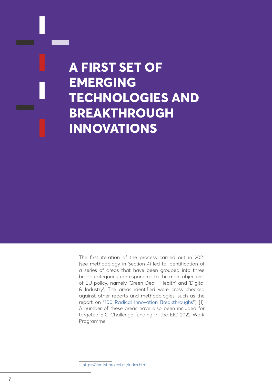# **A FIRST SET OF EMERGING TECHNOLOGIES AND BREAKTHROUGH INNOVATIONS**

The first iteration of the process carried out in 2021 (see methodology in Section 4) led to identification of a series of areas that have been grouped into three broad categories, corresponding to the main objectives of EU policy, namely 'Green Deal', 'Health' and 'Digital & Industry'. The areas identified were cross checked against other reports and methodologies, such as the report on ["100 Radical Innovation Breakthroughs](https://ribri.isi-project.eu/index.html)<sup>1</sup>") [1]. A number of these areas have also been included for targeted EIC Challenge funding in the EIC 2022 Work Programme.

1 <https://ribri.isi-project.eu/index.html>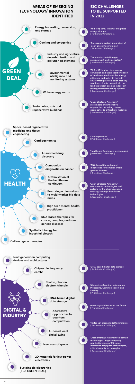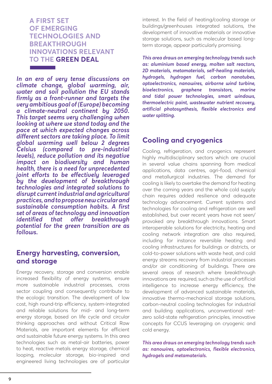#### **A FIRST SET OF EMERGING TECHNOLOGIES AND BREAKTHROUGH INNOVATIONS RELEVANT TO THE GREEN DEAL**

*In an era of very tense discussions on climate change, global warming, air, water and soil pollution the EU stands firmly as a front-runner and targets the very ambitious goal of (Europe) becoming a climate-neutral continent by 2050. This target seems very challenging when looking at where we stand today and the pace at which expected changes across different sectors are taking place. To limit global warming well below 2 degrees Celsius (compared to pre-industrial levels), reduce pollution and its negative impact on biodiversity and human health, there is a need for unprecedented joint efforts to be effectively leveraged by the development of breakthrough technologies and integrated solutions to disrupt current industrial and agricultural practices, and to propose new circular and sustainable consumption habits. A first set of areas of technology and innovation identified that offer breakthrough potential for the green transition are as follows.*

### **Energy harvesting, conversion, and storage**

Energy recovery, storage and conversion enable increased flexibility of energy systems, ensure more sustainable industrial processes, cross sector coupling and consequently contribute to the ecologic transition. The development of low cost, high round-trip efficiency, system-integrated and reliable solutions for mid- and long-term energy storage, based on life cycle and circular thinking approaches and without Critical Raw Materials, are important elements for efficient and sustainable future energy systems. In this area technologies such as metal-air batteries, power to heat, reactive metals energy storage, chemical looping, molecular storage, bio-inspired and engineered living technologies are of particular interest. In the field of heating/cooling storage or buildings/greenhouses integrated solutions, the development of innovative materials or innovative storage solutions, such as molecular based longterm storage, appear particularly promising.

*This area draws on emerging technology trends such as: aluminium based energy, molten salt reactors, 2D materials, metamaterials, self-healing materials, hydrogels, hydrogen fuel, carbon nanotubes, optoelectronics, nanowires, airborne wind turbine, bioelectronics, graphene transistors, marine and tidal power technologies, smart windows, thermoelectric paint, wastewater nutrient recovery, artificial photosynthesis, flexible electronics and water splitting.*

### **Cooling and cryogenics**

Cooling, refrigeration, and cryogenics represent highly multidisciplinary sectors which are crucial in several value chains spanning from medical applications, data centres, agri-food, chemical and metallurgical industries. The demand for cooling is likely to overtake the demand for heating over the coming years and the whole cold supply chain requires added resilience and adequate technology advancement. Current systems and technologies for cooling and refrigeration are well established, but over recent years have not seen/ provoked any breakthrough innovations. Smart interoperable solutions for electricity, heating and cooling network integration are also required, including for instance reversible heating and cooling infrastructures for buildings or districts, or cold-to-power solutions with waste heat, and cold energy streams recovery from industrial processes and/or air conditioning of buildings. There are several areas of research where breakthrough innovations are required, such as the use of artificial intelligence to increase energy efficiency, the development of advanced sustainable materials, innovative thermo-mechanical storage solutions, carbon-neutral cooling technologies for industrial and building applications, unconventional netzero solid-state refrigeration principles, innovative concepts for CCUS leveraging on cryogenic and cold energy.

*This area draws on emerging technology trends such as: nanowires, optoelectronics, flexible electronics, hydrogels and metamaterials.*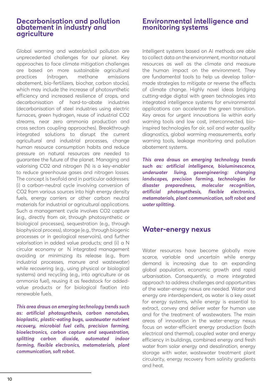#### **Decarbonisation and pollution abatement in industry and agriculture**

Global warming and water/air/soil pollution are unprecedented challenges for our planet. Key approaches to face climate mitigation challenges are based on more sustainable agricultural practices (nitrogen, methane emissions abatement, bio-fertilizers, biochar, carbon stocks), which may include the increase of photosynthetic efficiency and increased resilience of crops, and decarbonisation of hard-to-abate industries (decarbonisation of steel industries using electric furnaces, green hydrogen, reuse of industrial CO2 streams, near zero ammonia production and cross sectors coupling approaches). Breakthrough integrated solutions to disrupt the current agricultural and industrial processes, change human resource consumption habits and reduce pressure on natural resources are needed to guarantee the future of the planet. Managing and valorising CO2 and nitrogen (N) is a key-enabler to reduce greenhouse gases and nitrogen losses. The concept is twofold and in particular addresses: (i) a carbon-neutral cycle involving conversion of CO2 from various sources into high energy density fuels, energy carriers or other carbon neutral materials for industrial or agricultural applications. Such a management cycle involves CO2 capture (e.g., directly from air, through photosynthetic or biological processes), sequestration (e.g., through biophysical process), storage (e.g., through biogenic processes or in geological reservoirs), and further valorisation in added value products; and (ii) a N circular economy or N integrated management avoiding or minimizing its release (e.g., from industrial processes, manure and wastewater) while recovering (e.g., using physical or biological systems) and recycling (e.g., into agriculture or as ammonia fuel), reusing it as feedstock for addedvalue products or for biological fixation into renewable fuels.

*This area draws on emerging technology trends such as: artificial photosynthesis, carbon nanotubes, bioplastic, plastic-eating bugs, wastewater nutrient recovery, microbial fuel cells, precision farming, bioelectronics, carbon capture and sequestration, splitting carbon dioxide, automated indoor farming, flexible electronics, metamaterials, plant communication, soft robot.*

#### **Environmental intelligence and monitoring systems**

Intelligent systems based on AI methods are able to collect data on the environment, monitor natural resources as well as the climate and measure the human impact on the environment. They are fundamental tools to help us develop tailormade strategies to mitigate or reverse the effects of climate change. Highly novel ideas bridging cutting-edge digital with green technologies into integrated intelligence systems for environmental applications can accelerate the green transition. Key areas for urgent innovations lie within early warning tools and low cost, interconnected, bioinspired technologies for air, soil and water quality diagnostics, global warming measurements, early warning tools, leakage monitoring and pollution abatement systems.

*This area draws on emerging technology trends such as: artificial intelligence, bioluminescence, underwater living, geoengineering: changing landscapes, precision farming, technologies for disaster preparedness, molecular recognition, artificial photosynthesis, flexible electronics, metamaterials, plant communication, soft robot and water splitting.*

### **Water-energy nexus**

Water resources have become globally more scarce, variable and uncertain while energy demand is increasing due to an expanding global population, economic growth and rapid urbanisation. Consequently, a more integrated approach to address challenges and opportunities of the water-energy nexus are needed. Water and energy are interdependent, as water is a key asset for energy systems, while energy is essential to extract, convey and deliver water for human use and for the treatment of wastewaters. The main areas of innovation in the water-energy nexus focus on water-efficient energy production (both electrical and thermal), coupled water and energy efficiency in buildings, combined energy and fresh water from solar energy and desalination, energy storage with water, wastewater treatment plant circularity, energy recovery from salinity gradients and heat.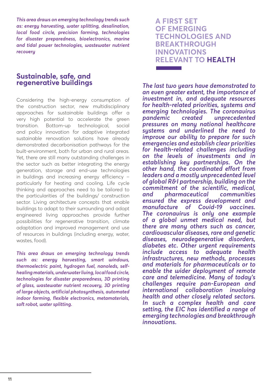*This area draws on emerging technology trends such as: energy harvesting, water splitting, desalination, local food circle, precision farming, technologies for disaster preparedness, bioelectronics, marine and tidal power technologies, wastewater nutrient recovery*

#### **Sustainable, safe, and regenerative buildings**

Considering the high-energy consumption of the construction sector, new multidisciplinary approaches for sustainable buildings offer a very high potential to accelerate the green transition. Bottom-up technological, social and policy innovation for adaptive integrated sustainable renovation solutions have already demonstrated decarbonisation pathways for the built-environment, both for urban and rural areas. Yet, there are still many outstanding challenges in the sector such as better integrating the energy generation, storage and end-use technologies in buildings and increasing energy efficiency – particularly for heating and cooling. Life cycle thinking and approaches need to be tailored to the particularities of the buildings/ construction sector. Living architecture concepts that enable buildings to adapt to their surrounding and adopt engineered living approaches provide further possibilities for regenerative transition, climate adaptation and improved management and use of resources in buildings (including energy, water, wastes, food).

*This area draws on emerging technology trends such as: energy harvesting, smart windows, thermoelectric paint, hydrogen fuel, nanoleds, selfhealing materials, underwater living, local food circle, technologies for disaster preparedness, 3D printing of glass, wastewater nutrient recovery, 3D printing of large objects, artificial photosynthesis, automated indoor farming, flexible electronics, metamaterials, soft robot, water splitting.*

### **A FIRST SET OF EMERGING TECHNOLOGIES AND BREAKTHROUGH INNOVATIONS RELEVANT TO HEALTH**

*The last two years have demonstrated to an even greater extent, the importance of investment in, and adequate resources for health-related priorities, systems and emerging technologies. The coronavirus pandemic created unprecedented pressures on many national healthcare systems and underlined the need to improve our ability to prepare for such emergencies and establish clear priorities for health-related challenges including on the levels of investments and in establishing key partnerships. On the other hand, the coordinated effort from leaders and a mostly unprecedented level of global R&I partnership, building on the commitment of the scientific, medical, and pharmaceutical communities ensured the express development and manufacture of Covid-19 vaccines. The coronavirus is only one example of a global unmet medical need, but there are many others such as cancer, cardiovascular diseases, rare and genetic diseases, neurodegenerative disorders, diabetes etc. Other urgent requirements include access to adequate health infrastructures, new methods, processes and materials for pharmaceuticals or to enable the wider deployment of remote care and telemedicine. Many of today's challenges require pan-European and international collaboration involving health and other closely related sectors. In such a complex health and care setting, the EIC has identified a range of emerging technologies and breakthrough innovations.*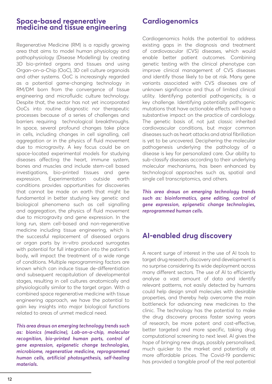#### **Space-based regenerative medicine and tissue engineering**

Regenerative Medicine (RM) is a rapidly growing area that aims to model human physiology and pathophysiology (Disease Modelling) by creating 3D bio-printed organs and tissues and using Organ-on-a-Chip (OoC), 3D cell culture organoids and other systems. OoC is increasingly regarded as a potential game-changing technology in RM/DM born from the convergence of tissue engineering and microfluidic culture technology. Despite that, the sector has not yet incorporated OoCs into routine diagnostic nor therapeutic processes because of a series of challenges and barriers requiring technological breakthroughs. In space, several profound changes take place in cells, including changes in cell signalling, cell aggregation or in the physics of fluid movement due to microgravity. A key focus could be on space-located experimental models for studying diseases affecting the heart, immune system, bones and muscles and include stem-cell based investigations, bio-printed tissues and gene expression. Experimentation outside earth conditions provides opportunities for discoveries that cannot be made on earth that might be fundamental in better studying key genetic and biological phenomena such as cell signalling and aggregation, the physics of fluid movement due to microgravity and gene expression. In the long run, stem cell-based and non-regenerative medicine including tissue engineering, which is the successful replacement of diseased organs or organ parts by in-vitro produced surrogates with potential for full integration into the patient's body, will impact the treatment of a wide range of conditions. Multiple reprogramming factors are known which can induce tissue de-differentiation and subsequent recapitulation of developmental stages, resulting in cell cultures anatomically and physiologically similar to the target organ. With a combined space regenerative medicine with tissue engineering approach, we have the potential to gain key insights into major biological functions related to areas of unmet medical need.

*This area draws on emerging technology trends such as: bionics (medicine), Lab-on-a-chip, molecular recognition, bio-printed human parts, control of gene expression, epigenetic change technologies, microbiome, regenerative medicine, reprogrammed human cells, artificial photosynthesis, self-healing materials.*

#### **Cardiogenomics**

Cardiogenomics holds the potential to address existing gaps in the diagnosis and treatment of cardiovascular (CVS) diseases, which would enable better patient outcomes. Combining genetic testing with the clinical phenotype can improve clinical management of CVS diseases and identify those likely to be at risk. Many gene variants associated with CVS diseases are of unknown significance and thus of limited clinical utility. Identifying potential pathogenicity, is a key challenge. Identifying potentially pathogenic mutations that have actionable effects will have a substantive impact on the practice of cardiology. The genetic basis of, not just classic inherited cardiovascular conditions, but major common diseases such as heart attacks and atrial fibrillation is yet to be uncovered. Deciphering the molecular pathogenesis underlying the pathology of a disease is key for personalized care. Our ability to sub-classify diseases according to their underlying molecular mechanisms, has been enhanced by technological approaches such as, spatial and single cell transcriptomics, and others.

*This area draws on emerging technology trends such as: bioinformatics, gene editing, control of gene expression, epigenetic change technologies, reprogrammed human cells.*

## **AI-enabled drug discovery**

A recent surge of interest in the use of AI tools to target drug research, discovery and development is no surprise considering its wide deployment across many different sectors. The use of AI to efficiently analyse a vast amount of data and identify relevant patterns, not easily detected by humans could help design small molecules with desirable properties, and thereby help overcome the main bottleneck for advancing new medicines to the clinic. The technology has the potential to make the drug discovery process faster saving years of research, be more potent and cost-effective, better targeted and more specific, taking drug computational screening to next level. AI gives the hope of bringing new drugs, possibly personalised, much quicker to the market and potentially at more affordable prices. The Covid-19 pandemic has provided a tangible proof of the real potential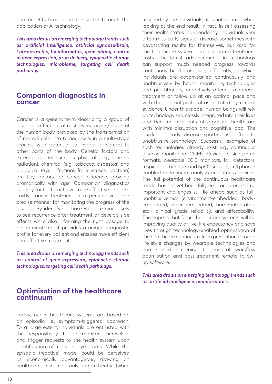and benefits brought to the sector through the application of AI technology.

*This area draws on emerging technology trends such as: artificial Intelligence, artificial synapse/brain, Lab-on-a-chip, bioinformatics, gene editing, control of gene expression, drug delivery, epigenetic change technologies, microbiome, targeting cell death pathways.*

#### **Companion diagnostics in cancer**

Cancer is a generic term describing a group of diseases affecting almost every organ/tissue of the human body provoked by the transformation of normal cells into tumour cells in a multi-stage process with potential to invade or spread to other parts of the body. Genetic factors and external agents such as physical (e.g., ionizing radiation), chemical (e.g., tobacco, asbestos) and biological (e.g., infections from viruses, bacteria) are key factors for cancer incidence, growing dramatically with age. Companion diagnostics is a key factor to achieve more effective and less costly cancer treatment in a personalized and precise manner for monitoring the progress of the disease. By identifying those who are more likely to see recurrence after treatment or develop side effects while also informing the right dosage to be administered, it provides a unique prognostic profile for every patient and ensures more efficient and effective treatment.

*This area draws on emerging technology trends such as: control of gene expression, epigenetic change technologies, targeting cell death pathways.*

#### **Optimisation of the healthcare continuum**

Today, public healthcare systems are based on an episodic i.e., symptom-triggered approach. To a large extent, individuals are entrusted with the responsibility to self-monitor themselves and trigger requests to the health system upon identification of relevant symptoms. While the episodic (reactive) model could be perceived as economically advantageous, drawing on healthcare resources only intermittently (when

required by the individuals), it is not optimal when looking at the end result. In fact, in self-assessing their health status independently, individuals very often miss early signs of disease, sometimes with devastating results for themselves, but also for the healthcare system and associated treatment costs. The latest advancements in technology can support much needed progress towards continuous healthcare very efficiently, in which individuals are accompanied continuously and unobtrusively by health monitoring technologies and practitioners, proactively offering diagnosis, treatment or follow up at an optimal pace and with the optimal protocol as dictated by clinical evidence. Under this model, human beings will rely on technology seamlessly integrated into their lives and become recipients of proactive healthcare with minimal disruption and cognitive load. The burden of early disease spotting is shifted to unobtrusive technology. Successful examples of such technologies already exist e.g., continuous glucose monitoring (CGMs) devices in skin-patch formats, wearable ECG monitors, fall detectors, respiration monitors and SpO2 sensors, cell phoneenabled behavioural analysis and fitness devices. The full potential of the continuous healthcare model has not yet been fully embraced and some important challenges still lie ahead such as fullunobtrusiveness (environment-embedded, bodyembedded, object-embedded, home-integrated, etc.), clinical grade reliability, and affordability. The hope is that future healthcare systems will be improving quality of live, life expectancy and save lives through technology-enabled optimisation of the healthcare continuum, from prevention through life-style changes by wearable technologies and home-based screening to hospital workflow optimisation and post-treatment remote followup software.

*This area draws on emerging technology trends such as: artificial intelligence, bioinformatics.*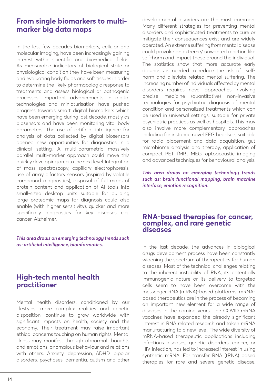### **From single biomarkers to multimarker big data maps**

In the last few decades biomarkers, cellular and molecular imaging, have been increasingly gaining interest within scientific and bio-medical fields. As measurable indicators of biological state or physiological condition they have been measuring and evaluating body fluids and soft tissues in order to determine the likely pharmacologic response to treatments and assess biological or pathogenic processes. Important advancements in digital technologies and miniaturisation have pushed progress towards smart digital biomarkers which have been emerging during last decade, mostly as biosensors and have been monitoring vital body parameters. The use of artificial intelligence for analysis of data collected by digital biosensors opened new opportunities for diagnostics in a clinical setting. A multi-parametric massively parallel multi-marker approach could move this quickly developing area to the next level. Integration of mass spectroscopy, capillary electrophoresis, use of array olfactory sensors (inspired by volatile compound diagnostics), disposal of full maps of protein content and application of AI tools into small-sized desktop units suitable for building large proteomic maps for diagnosis could also enable (with higher sensitivity), quicker and more specifically diagnostics for key diseases e.g., cancer, Alzheimer.

*This area draws on emerging technology trends such as: artificial intelligence, bioinformatics.*

#### **High-tech mental health practitioner**

Mental health disorders, conditioned by our lifestyles, more complex realities and genetic disposition, continue to grow worldwide with significant impacts on health, society and the economy. Their treatment may raise important ethical concerns touching on human rights. Mental illness may manifest through abnormal thoughts and emotions, anomalous behaviour and relations with others. Anxiety, depression, ADHD, bipolar disorders, psychoses, dementia, autism and other developmental disorders are the most common. Many different strategies for preventing mental disorders and sophisticated treatments to cure or mitigate their consequences exist and are widely operated. An extreme suffering from mental disease could provoke an extreme/ unwanted reaction like self-harm and impact those around the individual. The statistics show that more accurate early diagnosis is needed to reduce the risk of selfharm and alleviate related mental suffering. The increasing number of individuals affected by mental disorders requires novel approaches involving precise medicine (quantitative) non-invasive technologies for psychiatric diagnosis of mental condition and personalized treatments which can be used in universal settings, suitable for private psychiatric practices as well as hospitals. This may also involve more complementary approaches including for instance novel EEG headsets suitable for rapid placement and data acquisition, gut microbiome analysis and therapy, application of compact PET, fMRI, MEG, optoacoustic imaging and advanced techniques for behavioural analysis.

*This area draws on emerging technology trends such as: brain functional mapping, brain machine interface, emotion recognition.*

#### **RNA-based therapies for cancer, complex, and rare genetic diseases**

In the last decade, the advances in biological drugs development process have been constantly widening the spectrum of therapeutics for human diseases. Most of the technical challenges relating to the inherent instability of RNA, its potentially immunogenic nature or its delivery to targeted cells seem to have been overcome with the messenger RNA (mRNA)-based platforms. mRNAbased therapeutics are in the process of becoming an important new element for a wide range of diseases in the coming years. The COVID mRNA vaccines have expanded the already significant interest in RNA related research and taken mRNA manufacturing to a new level. The wide diversity of mRNA-based therapeutic applications including infectious diseases, genetic disorders, cancer, or HIV infection, has led to increased interest in using synthetic mRNA. For transfer RNA (tRNA) based therapies for rare and severe genetic disease,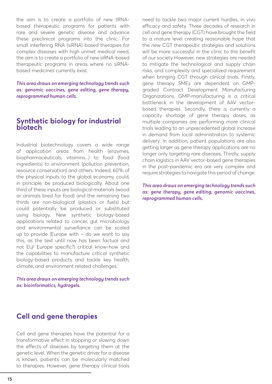the aim is to create a portfolio of new tRNAbased therapeutic programs for patients with rare and severe genetic disease and advance these preclinical programs into the clinic. For small interfering RNA (siRNA) based therapies for complex diseases with high unmet medical need, the aim is to create a portfolio of new siRNA-based therapeutic programs in areas where no siRNAbased medicines currently exist.

*This area draws on emerging technology trends such as: genomic vaccines, gene editing, gene therapy, reprogrammed human cells.*

#### **Synthetic biology for industrial biotech**

Industrial biotechnology covers a wide range of application areas from health (enzymes, biopharmaceuticals, vitamins...) to food (food ingredients) to environment (pollution prevention, resource conservation) and others. Indeed, 60% of the physical inputs to the global economy could, in principle, be produced biologically. About one third of these inputs are biological materials (wood or animals bred for food) and the remaining two thirds are non-biological (plastics or fuels) but could potentially be produced or substituted using biology. New synthetic biology-based applications related to cancer, gut microbiology and environmental surveillance can be scaled up to provide (Europe with – do we want to say this, as the text until now has been factual and not EU/ Europe specific?) critical know-how and the capabilities to manufacture critical synthetic biology-based products and tackle key health, climate, and environment related challenges.

*This area draws on emerging technology trends such as: bioinformatics, hydrogels.*

#### **Cell and gene therapies**

Cell and gene therapies have the potential for a transformative effect in stopping or slowing down the effects of diseases by targeting them at the genetic level. When the genetic driver for a disease is known, patients can be molecularly matched to therapies. However, gene therapy clinical trials need to tackle two major current hurdles, in vivo efficacy and safety. Three decades of research in cell and gene therapy (CGT) have brought the field to a mature level creating reasonable hope that the new CGT therapeutic strategies and solutions will be more successful in the clinic to the benefit of our society However, new strategies are needed to mitigate the technological and supply chain risks, and complexity and specialized requirement when bringing CGT through clinical trials. Firstly, gene therapy SMEs are dependent on GMPgraded Contract Development Manufacturing Organizations. GMP-manufacturing is a critical bottleneck in the development of AAV vectorbased therapies. Secondly, there is currently a capacity shortage of gene therapy doses, as multiple companies are performing more clinical trials leading to an unprecedented global increase in demand from local administration to systemic delivery. In addition, patient populations are also getting larger as gene therapy applications are no longer only targeting rare diseases. Thirdly, supply chain logistics in AAV vector-based gene therapies in the post-pandemic era are very complex and require strategies to navigate this period of change.

*This area draws on emerging technology trends such as: gene therapy, gene editing, genomic vaccines, reprogrammed human cells.*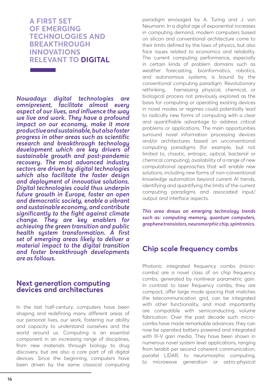**A FIRST SET OF EMERGING TECHNOLOGIES AND BREAKTHROUGH INNOVATIONS RELEVANT TO DIGITAL**

**The Committee Committee Committee** 

*Nowadays digital technologies are omnipresent, facilitate almost every aspect of our lives, and influence the way we live and work. They have a profound impact on our economy, make it more productive and sustainable, but also foster progress in other areas such as scientific research and breakthrough technology development which are key drivers of sustainable growth and post-pandemic recovery. The most advanced industry sectors are driven by digital technologies which also facilitate the faster design and deployment of innovative solutions. Digital technologies could thus underpin future growth in Europe, foster an open and democratic society, enable a vibrant and sustainable economy, and contribute significantly to the fight against climate change. They are key enablers for achieving the green transition and public health system transformation. A first set of emerging areas likely to deliver a material impact to the digital transition and foster breakthrough developments are as follows.* 

#### **Next generation computing devices and architectures**

In the last half-century, computers have been shaping and redefining many different areas of our personal lives, our work, fostering our ability and capacity to understand ourselves and the world around us. Computing is an essential component in an increasing range of disciplines, from new materials through biology to drug discovery, but are also a core part of all digital devices. Since the beginning, computers have been driven by the same classical computing paradigm envisaged by A. Turing and J. von Neumann. In a digital age of exponential increases in computing demand, modern computers based on silicon and conventional architecture come to their limits defined by the laws of physics, but also face issues related to economics and reliability. The current computing performance, especially in certain kinds of problem domains such as weather forecasting, bioinformatics, robotics, and autonomous systems, is bound by the conventional computing paradigm. Revolutionary rethinking, harnessing physical, chemical, or biological process not previously explored as the basis for computing or operating existing devices in novel modes or regimes could potentially lead to radically new forms of computing with a clear and quantifiable advantage to address critical problems or applications. The main opportunities surround novel information processing devices and/or architectures based on unconventional computing paradigms (for example, but not limited to, chaotic, entropic, optical, bacterial or chemical computing), availability of a range of new computational approaches that will enable new solutions, including new forms of non-conventional knowledge automation beyond current AI trends, identifying and quantifying the limits of the current computing paradigms and associated input/ output and interface aspects.

*This area draws on emerging technology trends such as: computing memory, quantum computers, graphene transistors, neuromorphic chip, spintronics.* 

### **Chip scale frequency combs**

Photonic integrated frequency combs (microcombs) are a novel class of on chip frequency combs, generated by nonlinear parametric gain. In contrast to laser frequency combs, they are compact, offer large mode spacing that matches the telecommunication grid, can be integrated with other functionality, and most importantly are compatible with semiconducting volume fabrication. Over the past decade such microcombs have made remarkable advances: they can now be operated battery powered and integrated with III-V gain media. They have been shown in numerous novel system level applications, ranging from terabit per second coherent communication, parallel LIDAR, to neuromorphic computing, to microwave generation or astro-physical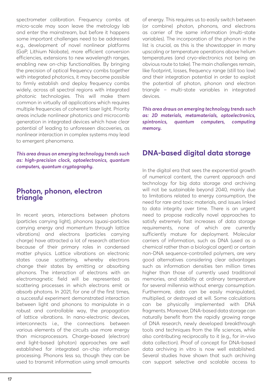spectrometer calibration. Frequency combs at micro-scale may soon leave the metrology lab and enter the mainstream, but before it happens some important challenges need to be addressed e.g., development of novel nonlinear platforms (GaP, Lithium Niobate), more efficient conversion efficiencies, extensions to new wavelength ranges, enabling new on-chip functionalities. By bringing the precision of optical frequency combs together with integrated photonics, it may become possible to firmly establish and deploy frequency combs widely, across all spectral regions with integrated photonic technologies. This will make them common in virtually all applications which requires multiple frequencies of coherent laser light. Priority areas include nonlinear photonics and microcomb generation in integrated devices which have clear potential of leading to unforeseen discoveries, as nonlinear interaction in complex systems may lead to emergent phenomena.

*This area draws on emerging technology trends such as: high-precision clock, optoelectronics, quantum computers, quantum cryptography.*

#### **Photon, phonon, electron triangle**

In recent years, interactions between photons (particles carrying light), phonons (quasi-particles carrying energy and momentum through lattice vibrations) and electrons (particles carrying charge) have attracted a lot of research attention because of their primary roles in condensed matter physics. Lattice vibrations on electronic states cause scattering, whereby electrons change their states by emitting or absorbing phonons. The interaction of electrons with an electromagnetic field will be represented as scattering processes in which electrons emit or absorb photons. In 2021, for one of the first times, a successful experiment demonstrated interaction between light and phonons to manipulate in a robust and controllable way, the propagation of lattice vibrations. In nano-electronic devices, interconnects i.e., the connections between various elements of the circuits use more energy than microprocessors. Charge-based (electron) and light-based (photon) approaches are well established for integrated on-chip information processing. Phonons less so, though they can be used to transmit information using small amounts of energy. This requires us to easily switch between (or combine) photon, phonons, and electrons as carrier of the same information (multi-state variables). The incorporation of the phonon in the list is crucial, as this is the showstopper in many upscaling or temperature operations above helium temperatures (and cryo-electronics not being an obvious route to take). The main challenges remain, like footprint, losses, frequency range (still too low) and their integration potential in order to exploit the potential of photon, phonon and electron triangle – multi-state variables in integrated devices.

*This area draws on emerging technology trends such as: 2D materials, metamaterials, optoelectronics, spintronics, quantum computers, computing memory.*

### **DNA-based digital data storage**

In the digital era that sees the exponential growth of numerical content, the current approach and technology for big data storage and archiving will not be sustainable beyond 2040, mainly due to limitations related to energy consumption, the need for rare and toxic materials, and issues linked to data integrity over time. There is an urgent need to propose radically novel approaches to satisfy extremely fast increases of data storage requirements, none of which are currently sufficiently mature for deployment. Molecular carriers of information, such as DNA (used as a chemical rather than a biological agent) or certain non-DNA sequence-controlled polymers, are very good alternatives considering clear advantages such as information densities ten million times higher than those of currently used traditional memories, and stability at ordinary temperature for several millennia without energy consumption. Furthermore, data can be easily manipulated, multiplied, or destroyed at will. Some calculations can be physically implemented with DNA fragments. Moreover, DNA-based data storage can naturally benefit from the rapidly growing range of DNA research, newly developed breakthrough tools and techniques from the life sciences, while also contributing reciprocally to it (e.g., for in-vivo data collection). Proof of concept for DNA-based data archiving in vitro is now well established. Several studies have shown that such archiving can support selective and scalable access to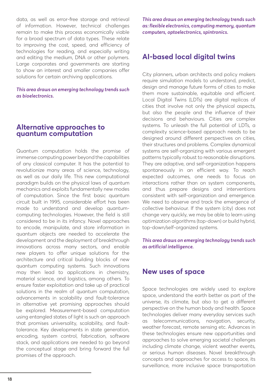data, as well as error-free storage and retrieval of information. However, technical challenges remain to make this process economically viable for a broad spectrum of data types. These relate to improving the cost, speed, and efficiency of technologies for reading, and especially writing and editing the medium, DNA or other polymers. Large corporates and governments are starting to show an interest and smaller companies offer solutions for certain archiving applications.

*This area draws on emerging technology trends such as bioelectronics.*

#### **Alternative approaches to quantum computation**

Quantum computation holds the promise of immense computing power beyond the capabilities of any classical computer. It has the potential to revolutionize many areas of science, technology, as well as our daily life. This new computational paradigm builds on the physical laws of quantum mechanics and exploits fundamentally new modes of computation. Since the first basic quantum circuit built in 1995, considerable effort has been made to understand and develop quantumcomputing technologies. However, the field is still considered to be in its infancy. Novel approaches to encode, manipulate, and store information in quantum objects are needed to accelerate the development and the deployment of breakthrough innovations across many sectors, and enable new players to offer unique solutions for the architecture and critical building blocks of new quantum computing systems. Such innovations may then lead to applications in chemistry, material science, and logistics, among others. To ensure faster exploitation and take up of practical solutions in the realm of quantum computation, advancements in scalability and fault-tolerance in alternative yet promising approaches should be explored. Measurement-based computation using entangled states of light is such an approach that promises universality, scalability, and faulttolerance. Key developments in state generation, encoding, system control, fabrication, software stack, and applications are needed to go beyond the conceptual stage and bring forward the full promises of the approach.

*This area draws on emerging technology trends such as: flexible electronics, computing memory, quantum computers, optoelectronics, spintronics.*

### **AI-based local digital twins**

City planners, urban architects and policy makers require simulation models to understand, predict, design and manage future forms of cities to make them more sustainable, equitable and efficient. Local Digital Twins (LDTs) are digital replicas of cities that involve not only the physical aspects, but also the people and the influence of their decisions and behaviours. Cities are complex systems. To unleash the full potential of LDTs, a complexity science-based approach needs to be designed around different perspectives on cities. their structures and problems. Complex dynamical systems are self-organizing with various emergent patterns typically robust to reasonable disruptions. They are adaptive, and self-organization happens spontaneously in an efficient way. To reach expected outcomes, one needs to focus on interactions rather than on system components, and thus prepare designs and interventions consistent with self-organization and emergence. We need to observe and track the emergence of collective behaviour. If the system (city) does not change very quickly, we may be able to learn using optimization algorithms (top-down) or build hybrid, top-down/self-organized systems.

*This area draws on emerging technology trends such as artificial intelligence.*

#### **New uses of space**

Space technologies are widely used to explore space, understand the earth better as part of the universe, its climate, but also to get a different perspective on the human body and health. Space technologies deliver many everyday services such as telecommunications, navigation, security, weather forecast, remote sensing etc. Advances in these technologies ensure new opportunities and approaches to solve emerging societal challenges including climate change, violent weather events, or serious human diseases. Novel breakthrough concepts and approaches for access to space, its surveillance, more inclusive space transportation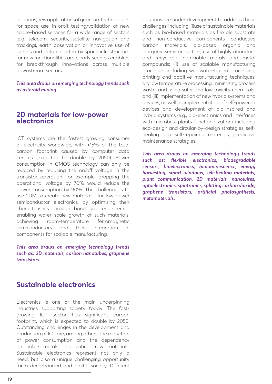solutions, new applications of quantum technologies for space use, in-orbit testing/validation of new space-based services for a wide range of sectors (e.g. telecom, security, satellite navigation and tracking), earth observation or innovative use of signals and data collected by space infrastructure for new functionalities are clearly seen as enablers for breakthrough innovations across multiple downstream sectors.

*This area draws on emerging technology trends such as asteroid mining.*

#### **2D materials for low-power electronics**

ICT systems are the fastest growing consumer of electricity worldwide, with >15% of the total carbon footprint caused by computer data centres (expected to double by 2050). Power consumption in CMOS technology can only be reduced by reducing the on/off voltage in the transistor operation: for example, dropping the operational voltage by 70% would reduce the power consumption by 90%. The challenge is to use 2DM to create new materials for low-power semiconductor electronics, by optimising their characteristics through band gap engineering, enabling wafer scale growth of such materials, achieving room-temperature ferromagnetic semiconductors and their integration in components for scalable manufacturing.

*This area draws on emerging technology trends such as: 2D materials, carbon nanotubes, graphene transistors.*

### **Sustainable electronics**

Electronics is one of the main underpinning industries supporting society today. The fastgrowing ICT sector has significant carbon footprint, which is expected to double by 2050. Outstanding challenges in the development and production of ICT are, among others, the reduction of power consumption and the dependency on noble metals and critical raw materials. Sustainable electronics represent not only a need, but also a unique challenging opportunity for a decarbonized and digital society. Different solutions are under development to address these challenges, including: (i)use of sustainable materials such as bio-based materials as flexible substrate and non-conductive components, conductive carbon materials, bio-based organic and inorganic semiconductors, use of highly abundant and recyclable non-noble metals and metal compounds; (ii) use of scalable manufacturing processes including wet water-based processing, printing and additive manufacturing techniques, dry low temperature processing, minimizing process waste, and using safer and low toxicity chemicals; and (iii) implementation of new hybrid systems and devices, as well as implementation of self-powered devices and development of bio-inspired and hybrid systems (e.g., bio-electronics and interfaces with microbes, plants functionalization) including eco-design and circular-by-design strategies, selfhealing and self-repairing materials, predictive maintenance strategies.

*This area draws on emerging technology trends such as: flexible electronics, biodegradable sensors, bioelectronics, bioluminescence, energy harvesting, smart windows, self-healing materials, plant communication, 2D materials, nanowires, optoelectronics, spintronics, splitting carbon dioxide, graphene transistors, artificial photosynthesis, metamaterials.*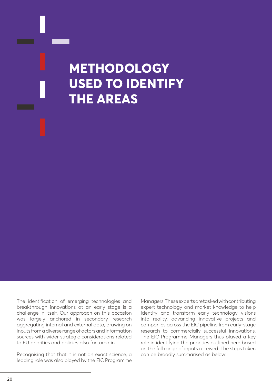

The identification of emerging technologies and breakthrough innovations at an early stage is a challenge in itself. Our approach on this occasion was largely anchored in secondary research aggregating internal and external data, drawing on inputs from a diverse range of actors and information sources with wider strategic considerations related to EU priorities and policies also factored in.

Recognising that that it is not an exact science, a leading role was also played by the EIC Programme

Managers. These experts are tasked with contributing expert technology and market knowledge to help identify and transform early technology visions into reality, advancing innovative projects and companies across the EIC pipeline from early-stage research to commercially successful innovations. The EIC Programme Managers thus played a key role in identifying the priorities outlined here based on the full range of inputs received. The steps taken can be broadly summarised as below: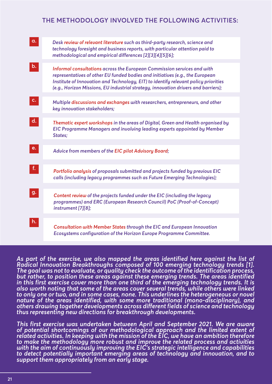#### **THE METHODOLOGY INVOLVED THE FOLLOWING ACTIVITIES:**

| a.             | Desk review of relevant literature such as third-party research, science and<br>technology foresight and business reports, with particular attention paid to<br>methodological and empirical differences [2][3][4][5][6];                                                                                                             |
|----------------|---------------------------------------------------------------------------------------------------------------------------------------------------------------------------------------------------------------------------------------------------------------------------------------------------------------------------------------|
|                |                                                                                                                                                                                                                                                                                                                                       |
| b.             | Informal consultations across the European Commission services and with<br>representatives of other EU funded bodies and initiatives (e.g., the European<br>Institute of Innovation and Technology, EIT) to identify relevant policy priorities<br>(e.g., Horizon Missions, EU industrial strategy, innovation drivers and barriers); |
|                |                                                                                                                                                                                                                                                                                                                                       |
| $\mathsf{C}$   | Multiple discussions and exchanges with researchers, entrepreneurs, and other<br>key innovation stakeholders;                                                                                                                                                                                                                         |
|                |                                                                                                                                                                                                                                                                                                                                       |
| $\mathsf{d}$ . | Thematic expert workshops in the areas of Digital, Green and Health organised by<br>EIC Programme Managers and involving leading experts appointed by Member<br>States;                                                                                                                                                               |
|                |                                                                                                                                                                                                                                                                                                                                       |
| e.             | Advice from members of the EIC pilot Advisory Board;                                                                                                                                                                                                                                                                                  |
|                |                                                                                                                                                                                                                                                                                                                                       |
| f.             | Portfolio analysis of proposals submitted and projects funded by previous EIC<br>calls (including legacy programmes such as Future Emerging Technologies);                                                                                                                                                                            |
|                |                                                                                                                                                                                                                                                                                                                                       |
| g.             | Content review of the projects funded under the EIC (including the legacy<br>programmes) and ERC (European Research Council) PoC (Proof-of-Concept)<br>instrument [7][8];                                                                                                                                                             |
|                |                                                                                                                                                                                                                                                                                                                                       |
| h.             | <b>Consultation with Member States through the EIC and European Innovation</b><br>Ecosystems configuration of the Horizon Europe Programme Committee.                                                                                                                                                                                 |

As part of the exercise, we also mapped the areas identified here against the list of *Radical Innovation Breakthroughs composed of 100 emerging technology trends [1]. The goal was not to evaluate, or quality check the outcome of the identification process, but rather, to position these areas against these emerging trends. The areas identified in this first exercise cover more than one third of the emerging technology trends. It is also worth noting that some of the areas cover several trends, while others were linked to only one or two, and in some cases, none. This underlines the heterogeneous or novel nature of the areas identified, with some more traditional (mono-disciplinary), and others drawing together developments across different fields of science and technology thus representing new directions for breakthrough developments.*

*This first exercise was undertaken between April and September 2021. We are aware of potential shortcomings of our methodological approach and the limited extent of related activities. In keeping with the mission of the EIC, we have an ambition therefore to make the methodology more robust and improve the related process and activities with the aim of continuously improving the EIC's strategic intelligence and capabilities to detect potentially important emerging areas of technology and innovation, and to support them appropriately from an early stage.*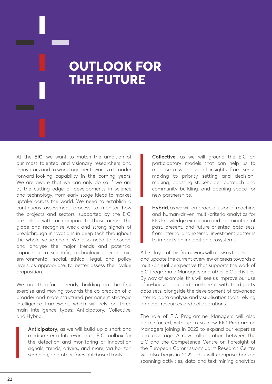## **OUTLOOK FOR THE FUTURE**

At the **EIC**, we want to match the ambition of our most talented and visionary researchers and innovators and to work together towards a broader forward-looking capability in the coming years. We are aware that we can only do so if we are at the cutting edge of developments in science and technology, from early-stage ideas to market uptake across the world. We need to establish a continuous assessment process to monitor how the projects and sectors, supported by the EIC, are linked with, or compare to those across the globe and recognise weak and strong signals of breakthrough innovations in deep tech throughout the whole value-chain. We also need to observe and analyse the major trends and potential impacts at a scientific, technological, economic, environmental, social, ethical, legal, and policy levels as appropriate, to better assess their value proposition.

We are therefore already building on the first exercise and moving towards the co-creation of a broader and more structured permanent strategic intelligence framework, which will rely on three main intelligence types: Anticipatory, Collective, and Hybrid.

> **Anticipatory**, as we will build up a short and medium-term future-oriented EIC toolbox for the detection and monitoring of innovation signals, trends, drivers, and more, via horizon scanning, and other foresight-based tools.

**Collective**, as we will ground the EIC on participatory models that can help us to mobilise a wider set of insights, from sense making to priority setting and decisionmaking, boosting stakeholder outreach and community building, and opening space for new partnerships.

**Hybrid**, as we will embrace a fusion of machine and human-driven multi-criteria analytics for EIC knowledge extraction and examination of past, present, and future-oriented data sets, from internal and external investment patterns to impacts on innovation ecosystems.

A first layer of this framework will allow us to develop and update the current overview of areas towards a multi-annual perspective that supports the work of EIC Programme Managers and other EIC activities. By way of example, this will see us improve our use of in-house data and combine it with third party data sets, alongside the development of advanced internal data analysis and visualisation tools, relying on novel resources and collaborations.

The role of EIC Programme Managers will also be reinforced, with up to six new EIC Programme Managers joining in 2022 to expand our expertise and coverage. A new collaboration between the EIC and the Competence Centre on Foresight of the European Commission's Joint Research Centre will also begin in 2022. This will comprise horizon scanning activities, data and text mining analytics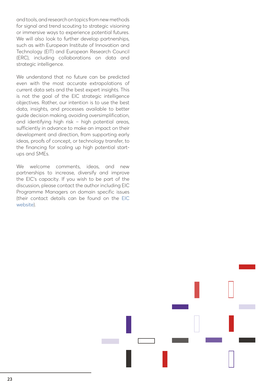and tools, and research on topics from new methods for signal and trend scouting to strategic visioning or immersive ways to experience potential futures. We will also look to further develop partnerships, such as with European Institute of Innovation and Technology (EIT) and European Research Council (ERC), including collaborations on data and strategic intelligence.

We understand that no future can be predicted even with the most accurate extrapolations of current data sets and the best expert insights. This is not the goal of the EIC strategic intelligence objectives. Rather, our intention is to use the best data, insights, and processes available to better guide decision making, avoiding oversimplification, and identifying high risk – high potential areas, sufficiently in advance to make an impact on their development and direction, from supporting early ideas, proofs of concept, or technology transfer, to the financing for scaling up high potential startups and SMEs.

We welcome comments, ideas, and new partnerships to increase, diversify and improve the EIC's capacity. If you wish to be part of the discussion, please contact the author including EIC Programme Managers on domain specific issues (their contact details can be found on the [EIC](https://eic.ec.europa.eu/index_en) [website](https://eic.ec.europa.eu/index_en)).

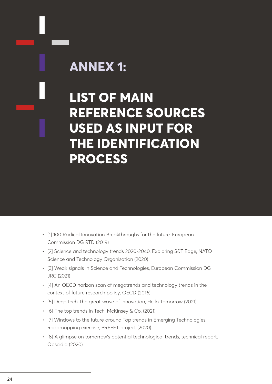## **ANNEX 1:**

**LIST OF MAIN REFERENCE SOURCES USED AS INPUT FOR THE IDENTIFICATION PROCESS**

- [1] 100 Radical Innovation Breakthroughs for the future, European Commission DG RTD (2019)
- [2] Science and technology trends 2020-2040, Exploring S&T Edge, NATO Science and Technology Organisation (2020)
- [3] Weak signals in Science and Technologies, European Commission DG JRC (2021)
- [4] An OECD horizon scan of megatrends and technology trends in the context of future research policy, OECD (2016)
- [5] Deep tech: the great wave of innovation, Hello Tomorrow (2021)
- [6] The top trends in Tech, McKinsey & Co. (2021)
- [7] Windows to the future around Top trends in Emerging Technologies. Roadmapping exercise, PREFET project (2020)
- [8] A glimpse on tomorrow's potential technological trends, technical report, Opscidia (2020)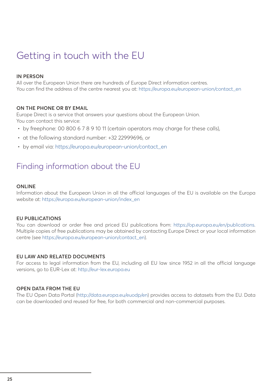## Getting in touch with the EU

#### **IN PERSON**

All over the European Union there are hundreds of Europe Direct information centres. You can find the address of the centre nearest you at: [https://europa.eu/european-union/contact\\_en](https://europa.eu/european-union/contact_en)

#### **ON THE PHONE OR BY EMAIL**

Europe Direct is a service that answers your questions about the European Union. You can contact this service:

- by freephone: 00 800 6 7 8 9 10 11 (certain operators may charge for these calls),
- at the following standard number: +32 22999696, or
- by email via: [https://europa.eu/european-union/contact\\_en](https://europa.eu/european-union/contact_en)

## Finding information about the EU

#### **ONLINE**

Information about the European Union in all the official languages of the EU is available on the Europa website at: [https://europa.eu/european-union/index\\_en](https://europa.eu/european-union/index_en)

#### **EU PUBLICATIONS**

You can download or order free and priced EU publications from: <https://op.europa.eu/en/publications>. Multiple copies of free publications may be obtained by contacting Europe Direct or your local information centre (see [https://europa.eu/european-union/contact\\_en\)](https://europa.eu/european-union/contact_en).

#### **EU LAW AND RELATED DOCUMENTS**

For access to legal information from the EU, including all EU law since 1952 in all the official language versions, go to EUR-Lex at: <http://eur-lex.europa.eu>

#### **OPEN DATA FROM THE EU**

The EU Open Data Portal [\(http://data.europa.eu/euodp/en](http://data.europa.eu/euodp/en)) provides access to datasets from the EU. Data can be downloaded and reused for free, for both commercial and non-commercial purposes.